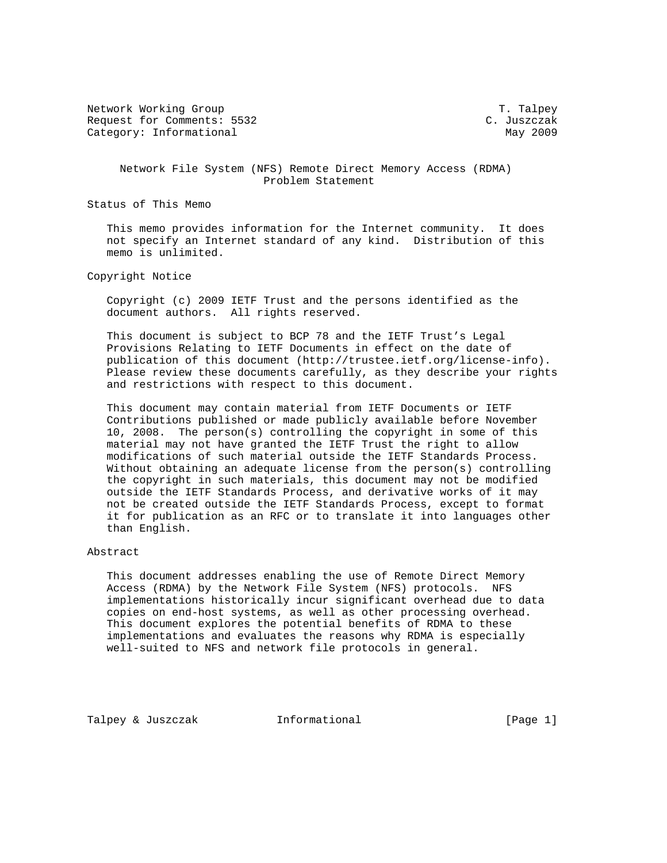Network Working Group T. Talpey Request for Comments: 5532 C. Juszczak Category: Informational May 2009

 Network File System (NFS) Remote Direct Memory Access (RDMA) Problem Statement

Status of This Memo

 This memo provides information for the Internet community. It does not specify an Internet standard of any kind. Distribution of this memo is unlimited.

Copyright Notice

 Copyright (c) 2009 IETF Trust and the persons identified as the document authors. All rights reserved.

 This document is subject to BCP 78 and the IETF Trust's Legal Provisions Relating to IETF Documents in effect on the date of publication of this document (http://trustee.ietf.org/license-info). Please review these documents carefully, as they describe your rights and restrictions with respect to this document.

 This document may contain material from IETF Documents or IETF Contributions published or made publicly available before November 10, 2008. The person(s) controlling the copyright in some of this material may not have granted the IETF Trust the right to allow modifications of such material outside the IETF Standards Process. Without obtaining an adequate license from the person(s) controlling the copyright in such materials, this document may not be modified outside the IETF Standards Process, and derivative works of it may not be created outside the IETF Standards Process, except to format it for publication as an RFC or to translate it into languages other than English.

# Abstract

 This document addresses enabling the use of Remote Direct Memory Access (RDMA) by the Network File System (NFS) protocols. NFS implementations historically incur significant overhead due to data copies on end-host systems, as well as other processing overhead. This document explores the potential benefits of RDMA to these implementations and evaluates the reasons why RDMA is especially well-suited to NFS and network file protocols in general.

Talpey & Juszczak 1nformational (Page 1)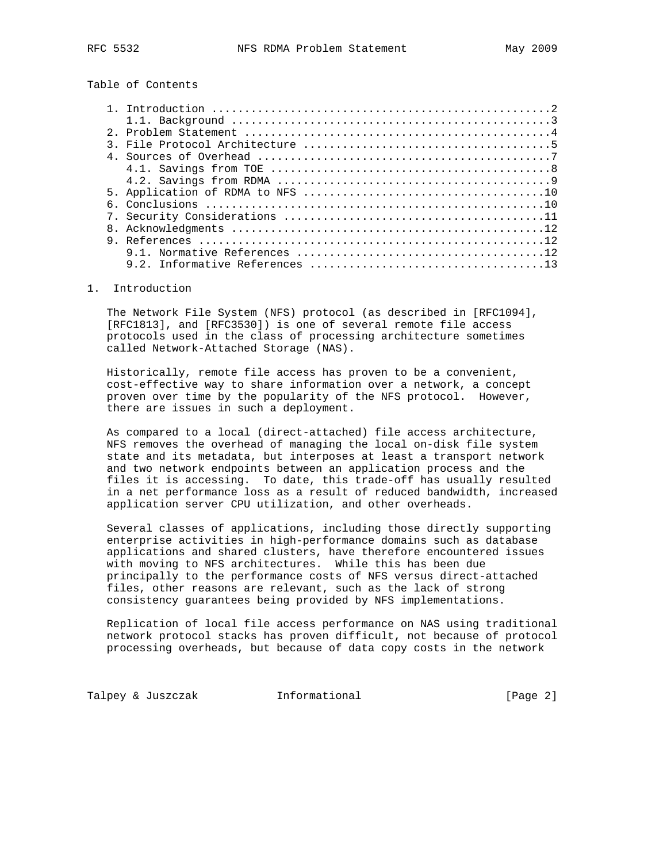Table of Contents

# 1. Introduction

 The Network File System (NFS) protocol (as described in [RFC1094], [RFC1813], and [RFC3530]) is one of several remote file access protocols used in the class of processing architecture sometimes called Network-Attached Storage (NAS).

 Historically, remote file access has proven to be a convenient, cost-effective way to share information over a network, a concept proven over time by the popularity of the NFS protocol. However, there are issues in such a deployment.

 As compared to a local (direct-attached) file access architecture, NFS removes the overhead of managing the local on-disk file system state and its metadata, but interposes at least a transport network and two network endpoints between an application process and the files it is accessing. To date, this trade-off has usually resulted in a net performance loss as a result of reduced bandwidth, increased application server CPU utilization, and other overheads.

 Several classes of applications, including those directly supporting enterprise activities in high-performance domains such as database applications and shared clusters, have therefore encountered issues with moving to NFS architectures. While this has been due principally to the performance costs of NFS versus direct-attached files, other reasons are relevant, such as the lack of strong consistency guarantees being provided by NFS implementations.

 Replication of local file access performance on NAS using traditional network protocol stacks has proven difficult, not because of protocol processing overheads, but because of data copy costs in the network

Talpey & Juszczak **Informational** (Page 2)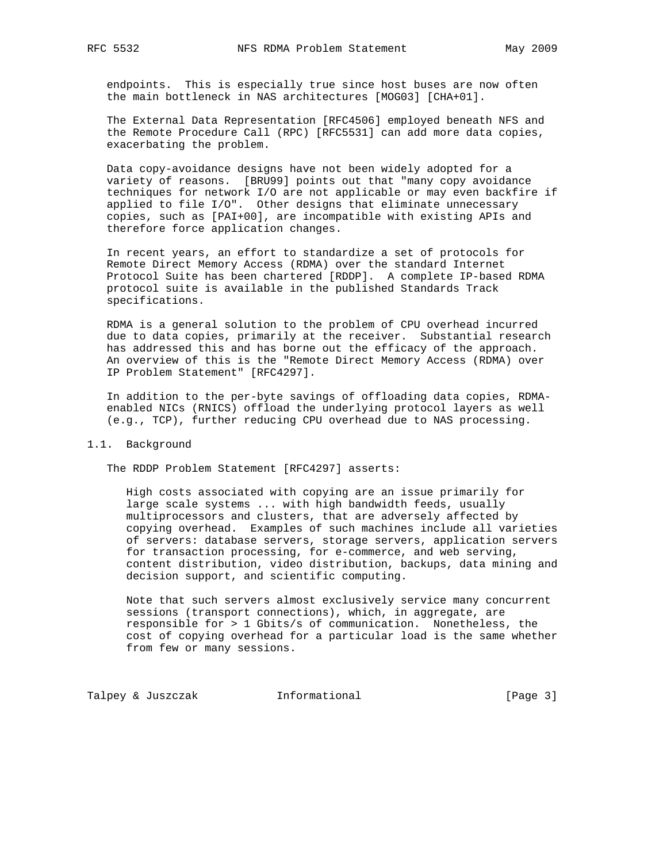endpoints. This is especially true since host buses are now often the main bottleneck in NAS architectures [MOG03] [CHA+01].

 The External Data Representation [RFC4506] employed beneath NFS and the Remote Procedure Call (RPC) [RFC5531] can add more data copies, exacerbating the problem.

 Data copy-avoidance designs have not been widely adopted for a variety of reasons. [BRU99] points out that "many copy avoidance techniques for network I/O are not applicable or may even backfire if applied to file I/O". Other designs that eliminate unnecessary copies, such as [PAI+00], are incompatible with existing APIs and therefore force application changes.

 In recent years, an effort to standardize a set of protocols for Remote Direct Memory Access (RDMA) over the standard Internet Protocol Suite has been chartered [RDDP]. A complete IP-based RDMA protocol suite is available in the published Standards Track specifications.

 RDMA is a general solution to the problem of CPU overhead incurred due to data copies, primarily at the receiver. Substantial research has addressed this and has borne out the efficacy of the approach. An overview of this is the "Remote Direct Memory Access (RDMA) over IP Problem Statement" [RFC4297].

 In addition to the per-byte savings of offloading data copies, RDMA enabled NICs (RNICS) offload the underlying protocol layers as well (e.g., TCP), further reducing CPU overhead due to NAS processing.

#### 1.1. Background

The RDDP Problem Statement [RFC4297] asserts:

 High costs associated with copying are an issue primarily for large scale systems ... with high bandwidth feeds, usually multiprocessors and clusters, that are adversely affected by copying overhead. Examples of such machines include all varieties of servers: database servers, storage servers, application servers for transaction processing, for e-commerce, and web serving, content distribution, video distribution, backups, data mining and decision support, and scientific computing.

 Note that such servers almost exclusively service many concurrent sessions (transport connections), which, in aggregate, are responsible for > 1 Gbits/s of communication. Nonetheless, the cost of copying overhead for a particular load is the same whether from few or many sessions.

Talpey & Juszczak 1nformational (Page 3)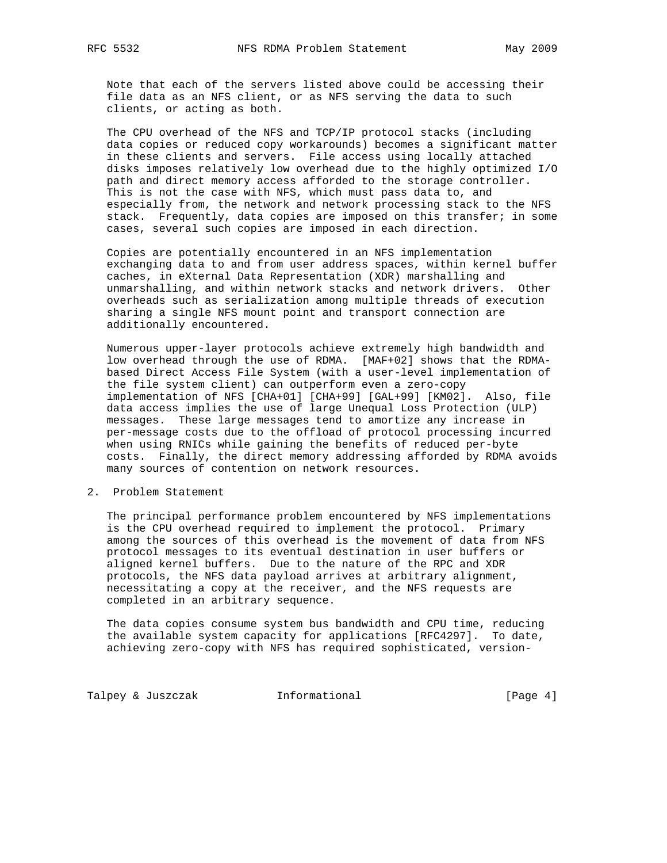Note that each of the servers listed above could be accessing their file data as an NFS client, or as NFS serving the data to such clients, or acting as both.

 The CPU overhead of the NFS and TCP/IP protocol stacks (including data copies or reduced copy workarounds) becomes a significant matter in these clients and servers. File access using locally attached disks imposes relatively low overhead due to the highly optimized I/O path and direct memory access afforded to the storage controller. This is not the case with NFS, which must pass data to, and especially from, the network and network processing stack to the NFS stack. Frequently, data copies are imposed on this transfer; in some cases, several such copies are imposed in each direction.

 Copies are potentially encountered in an NFS implementation exchanging data to and from user address spaces, within kernel buffer caches, in eXternal Data Representation (XDR) marshalling and unmarshalling, and within network stacks and network drivers. Other overheads such as serialization among multiple threads of execution sharing a single NFS mount point and transport connection are additionally encountered.

 Numerous upper-layer protocols achieve extremely high bandwidth and low overhead through the use of RDMA. [MAF+02] shows that the RDMA based Direct Access File System (with a user-level implementation of the file system client) can outperform even a zero-copy implementation of NFS [CHA+01] [CHA+99] [GAL+99] [KM02]. Also, file data access implies the use of large Unequal Loss Protection (ULP) messages. These large messages tend to amortize any increase in per-message costs due to the offload of protocol processing incurred when using RNICs while gaining the benefits of reduced per-byte costs. Finally, the direct memory addressing afforded by RDMA avoids many sources of contention on network resources.

2. Problem Statement

 The principal performance problem encountered by NFS implementations is the CPU overhead required to implement the protocol. Primary among the sources of this overhead is the movement of data from NFS protocol messages to its eventual destination in user buffers or aligned kernel buffers. Due to the nature of the RPC and XDR protocols, the NFS data payload arrives at arbitrary alignment, necessitating a copy at the receiver, and the NFS requests are completed in an arbitrary sequence.

 The data copies consume system bus bandwidth and CPU time, reducing the available system capacity for applications [RFC4297]. To date, achieving zero-copy with NFS has required sophisticated, version-

Talpey & Juszczak 1nformational (Page 4)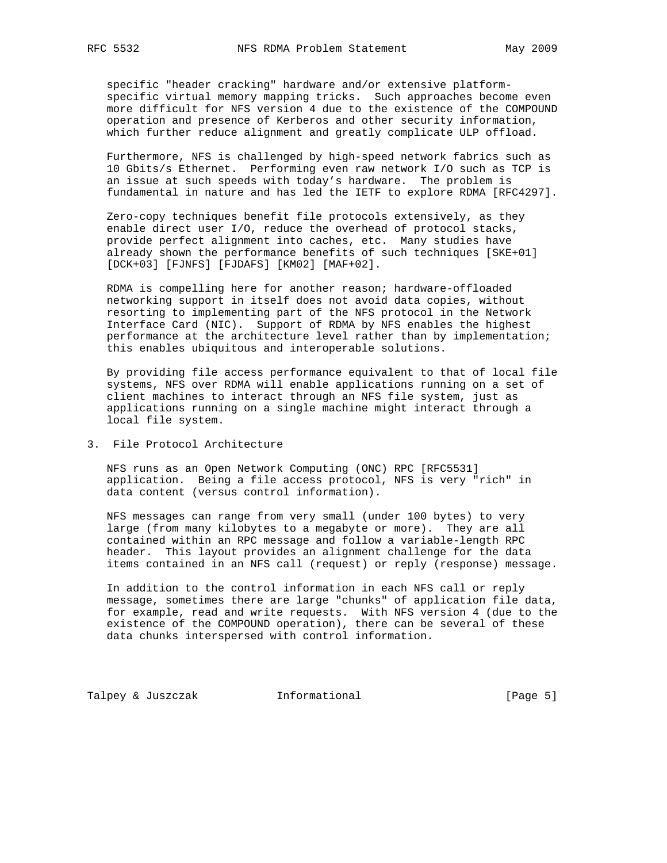specific "header cracking" hardware and/or extensive platform specific virtual memory mapping tricks. Such approaches become even more difficult for NFS version 4 due to the existence of the COMPOUND operation and presence of Kerberos and other security information, which further reduce alignment and greatly complicate ULP offload.

 Furthermore, NFS is challenged by high-speed network fabrics such as 10 Gbits/s Ethernet. Performing even raw network I/O such as TCP is an issue at such speeds with today's hardware. The problem is fundamental in nature and has led the IETF to explore RDMA [RFC4297].

 Zero-copy techniques benefit file protocols extensively, as they enable direct user I/O, reduce the overhead of protocol stacks, provide perfect alignment into caches, etc. Many studies have already shown the performance benefits of such techniques [SKE+01] [DCK+03] [FJNFS] [FJDAFS] [KM02] [MAF+02].

 RDMA is compelling here for another reason; hardware-offloaded networking support in itself does not avoid data copies, without resorting to implementing part of the NFS protocol in the Network Interface Card (NIC). Support of RDMA by NFS enables the highest performance at the architecture level rather than by implementation; this enables ubiquitous and interoperable solutions.

 By providing file access performance equivalent to that of local file systems, NFS over RDMA will enable applications running on a set of client machines to interact through an NFS file system, just as applications running on a single machine might interact through a local file system.

3. File Protocol Architecture

 NFS runs as an Open Network Computing (ONC) RPC [RFC5531] application. Being a file access protocol, NFS is very "rich" in data content (versus control information).

 NFS messages can range from very small (under 100 bytes) to very large (from many kilobytes to a megabyte or more). They are all contained within an RPC message and follow a variable-length RPC header. This layout provides an alignment challenge for the data items contained in an NFS call (request) or reply (response) message.

 In addition to the control information in each NFS call or reply message, sometimes there are large "chunks" of application file data, for example, read and write requests. With NFS version 4 (due to the existence of the COMPOUND operation), there can be several of these data chunks interspersed with control information.

Talpey & Juszczak 1nformational (Page 5)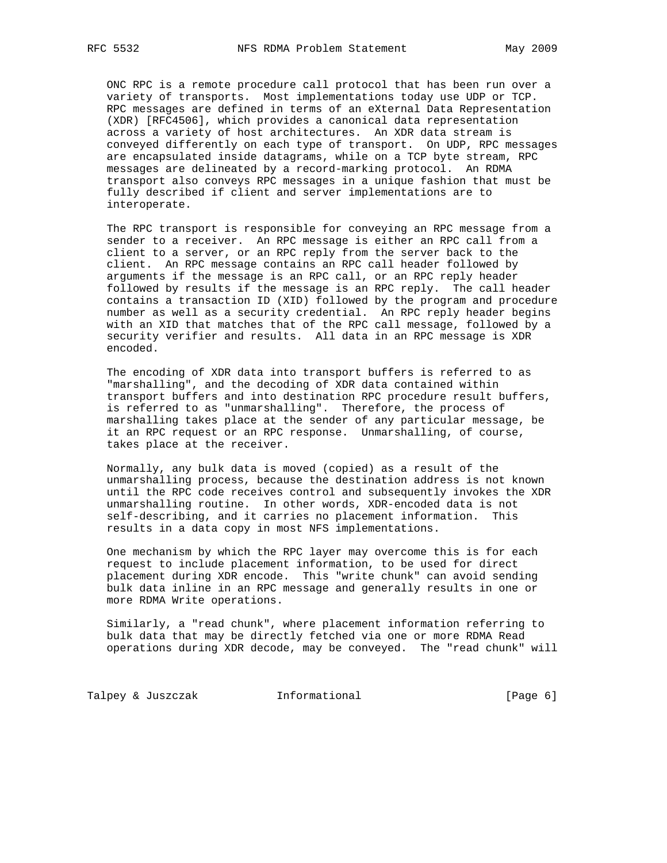ONC RPC is a remote procedure call protocol that has been run over a variety of transports. Most implementations today use UDP or TCP. RPC messages are defined in terms of an eXternal Data Representation (XDR) [RFC4506], which provides a canonical data representation across a variety of host architectures. An XDR data stream is conveyed differently on each type of transport. On UDP, RPC messages are encapsulated inside datagrams, while on a TCP byte stream, RPC messages are delineated by a record-marking protocol. An RDMA transport also conveys RPC messages in a unique fashion that must be fully described if client and server implementations are to interoperate.

 The RPC transport is responsible for conveying an RPC message from a sender to a receiver. An RPC message is either an RPC call from a client to a server, or an RPC reply from the server back to the client. An RPC message contains an RPC call header followed by arguments if the message is an RPC call, or an RPC reply header followed by results if the message is an RPC reply. The call header contains a transaction ID (XID) followed by the program and procedure number as well as a security credential. An RPC reply header begins with an XID that matches that of the RPC call message, followed by a security verifier and results. All data in an RPC message is XDR encoded.

 The encoding of XDR data into transport buffers is referred to as "marshalling", and the decoding of XDR data contained within transport buffers and into destination RPC procedure result buffers, is referred to as "unmarshalling". Therefore, the process of marshalling takes place at the sender of any particular message, be it an RPC request or an RPC response. Unmarshalling, of course, takes place at the receiver.

 Normally, any bulk data is moved (copied) as a result of the unmarshalling process, because the destination address is not known until the RPC code receives control and subsequently invokes the XDR unmarshalling routine. In other words, XDR-encoded data is not self-describing, and it carries no placement information. This results in a data copy in most NFS implementations.

 One mechanism by which the RPC layer may overcome this is for each request to include placement information, to be used for direct placement during XDR encode. This "write chunk" can avoid sending bulk data inline in an RPC message and generally results in one or more RDMA Write operations.

 Similarly, a "read chunk", where placement information referring to bulk data that may be directly fetched via one or more RDMA Read operations during XDR decode, may be conveyed. The "read chunk" will

Talpey & Juszczak 1nformational (Page 6)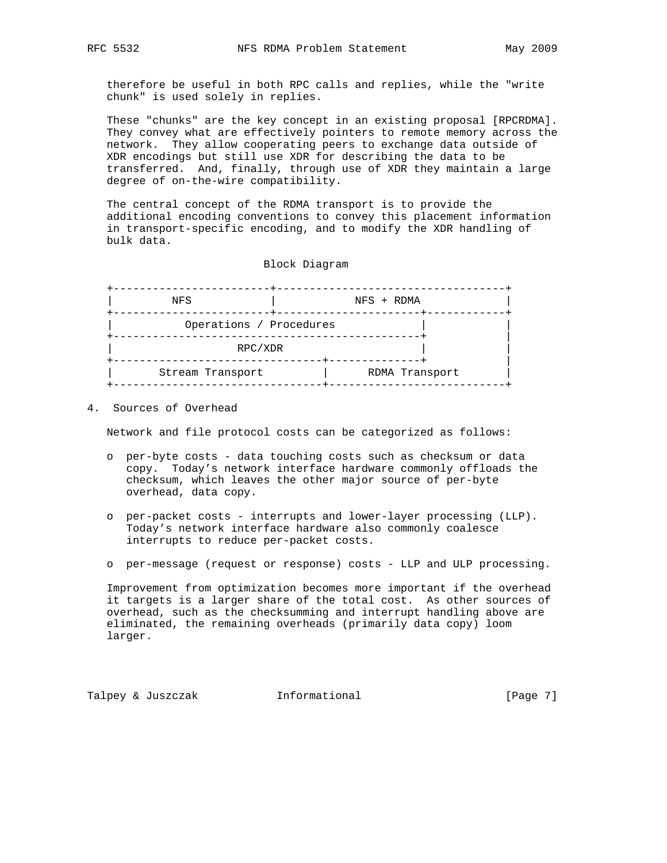therefore be useful in both RPC calls and replies, while the "write chunk" is used solely in replies.

 These "chunks" are the key concept in an existing proposal [RPCRDMA]. They convey what are effectively pointers to remote memory across the network. They allow cooperating peers to exchange data outside of XDR encodings but still use XDR for describing the data to be transferred. And, finally, through use of XDR they maintain a large degree of on-the-wire compatibility.

 The central concept of the RDMA transport is to provide the additional encoding conventions to convey this placement information in transport-specific encoding, and to modify the XDR handling of bulk data.

Block Diagram

| NFS                     | NFS + RDMA     |  |
|-------------------------|----------------|--|
| Operations / Procedures |                |  |
| RPC/XDR                 |                |  |
| Stream Transport        | RDMA Transport |  |

4. Sources of Overhead

Network and file protocol costs can be categorized as follows:

- o per-byte costs data touching costs such as checksum or data copy. Today's network interface hardware commonly offloads the checksum, which leaves the other major source of per-byte overhead, data copy.
- o per-packet costs interrupts and lower-layer processing (LLP). Today's network interface hardware also commonly coalesce interrupts to reduce per-packet costs.
- o per-message (request or response) costs LLP and ULP processing.

 Improvement from optimization becomes more important if the overhead it targets is a larger share of the total cost. As other sources of overhead, such as the checksumming and interrupt handling above are eliminated, the remaining overheads (primarily data copy) loom larger.

Talpey & Juszczak 1nformational (Page 7)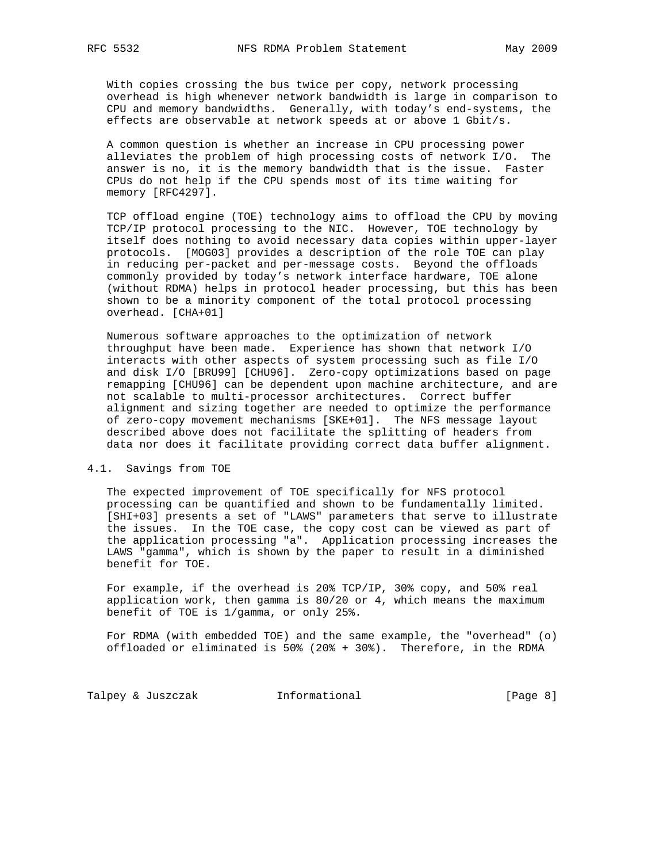With copies crossing the bus twice per copy, network processing overhead is high whenever network bandwidth is large in comparison to CPU and memory bandwidths. Generally, with today's end-systems, the effects are observable at network speeds at or above 1 Gbit/s.

 A common question is whether an increase in CPU processing power alleviates the problem of high processing costs of network I/O. The answer is no, it is the memory bandwidth that is the issue. Faster CPUs do not help if the CPU spends most of its time waiting for memory [RFC4297].

 TCP offload engine (TOE) technology aims to offload the CPU by moving TCP/IP protocol processing to the NIC. However, TOE technology by itself does nothing to avoid necessary data copies within upper-layer protocols. [MOG03] provides a description of the role TOE can play in reducing per-packet and per-message costs. Beyond the offloads commonly provided by today's network interface hardware, TOE alone (without RDMA) helps in protocol header processing, but this has been shown to be a minority component of the total protocol processing overhead. [CHA+01]

 Numerous software approaches to the optimization of network throughput have been made. Experience has shown that network I/O interacts with other aspects of system processing such as file I/O and disk I/O [BRU99] [CHU96]. Zero-copy optimizations based on page remapping [CHU96] can be dependent upon machine architecture, and are not scalable to multi-processor architectures. Correct buffer alignment and sizing together are needed to optimize the performance of zero-copy movement mechanisms [SKE+01]. The NFS message layout described above does not facilitate the splitting of headers from data nor does it facilitate providing correct data buffer alignment.

# 4.1. Savings from TOE

 The expected improvement of TOE specifically for NFS protocol processing can be quantified and shown to be fundamentally limited. [SHI+03] presents a set of "LAWS" parameters that serve to illustrate the issues. In the TOE case, the copy cost can be viewed as part of the application processing "a". Application processing increases the LAWS "gamma", which is shown by the paper to result in a diminished benefit for TOE.

 For example, if the overhead is 20% TCP/IP, 30% copy, and 50% real application work, then gamma is 80/20 or 4, which means the maximum benefit of TOE is 1/gamma, or only 25%.

 For RDMA (with embedded TOE) and the same example, the "overhead" (o) offloaded or eliminated is 50% (20% + 30%). Therefore, in the RDMA

Talpey & Juszczak 1nformational (Page 8)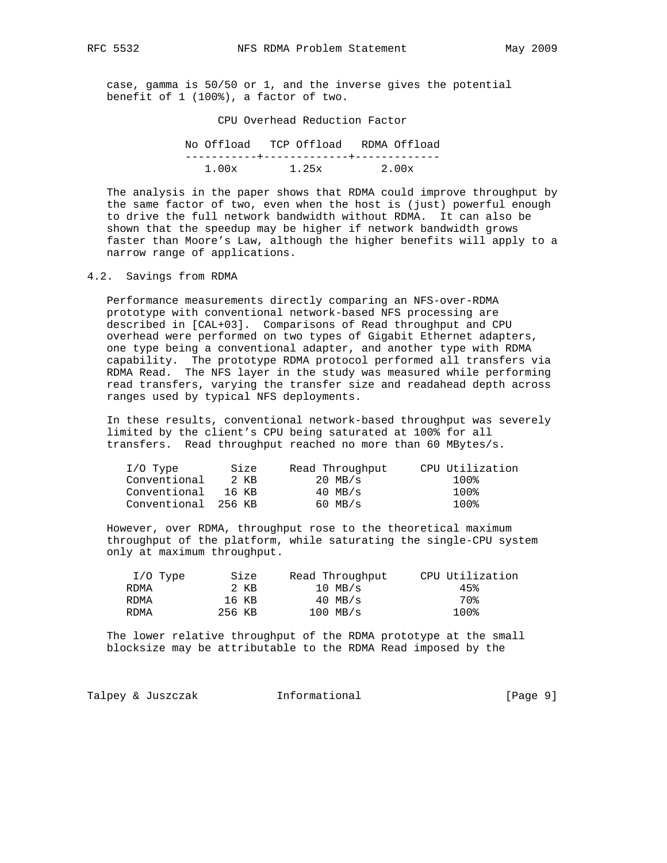case, gamma is 50/50 or 1, and the inverse gives the potential benefit of 1 (100%), a factor of two.

CPU Overhead Reduction Factor

| No Offload TCP Offload RDMA Offload |       |       |
|-------------------------------------|-------|-------|
|                                     |       |       |
| 1.00x                               | 1.25x | 2.00x |

 The analysis in the paper shows that RDMA could improve throughput by the same factor of two, even when the host is (just) powerful enough to drive the full network bandwidth without RDMA. It can also be shown that the speedup may be higher if network bandwidth grows faster than Moore's Law, although the higher benefits will apply to a narrow range of applications.

4.2. Savings from RDMA

 Performance measurements directly comparing an NFS-over-RDMA prototype with conventional network-based NFS processing are described in [CAL+03]. Comparisons of Read throughput and CPU overhead were performed on two types of Gigabit Ethernet adapters, one type being a conventional adapter, and another type with RDMA capability. The prototype RDMA protocol performed all transfers via RDMA Read. The NFS layer in the study was measured while performing read transfers, varying the transfer size and readahead depth across ranges used by typical NFS deployments.

 In these results, conventional network-based throughput was severely limited by the client's CPU being saturated at 100% for all transfers. Read throughput reached no more than 60 MBytes/s.

| $I/O$ Type          | Size  | Read Throughput | CPU Utilization |
|---------------------|-------|-----------------|-----------------|
| Conventional        | 2 KB  | $20$ MB/s       | 100%            |
| Conventional        | 16 KB | $40$ MB/s       | 100%            |
| Conventional 256 KB |       | $60$ MB/s       | 100%            |

 However, over RDMA, throughput rose to the theoretical maximum throughput of the platform, while saturating the single-CPU system only at maximum throughput.

| $I/O$ Type |        | Size  | Read Throughput | CPU Utilization |
|------------|--------|-------|-----------------|-----------------|
| RDMA       |        | 2 KB  | $10$ MB/s       | 45%             |
| RDMA       |        | 16 KB | $40$ MB/s       | 70%             |
| RDMA       | 256 KB |       | $100$ MB/s      | 100%            |

 The lower relative throughput of the RDMA prototype at the small blocksize may be attributable to the RDMA Read imposed by the

|  | Talpey & Juszczak | Informational | [Page 9] |
|--|-------------------|---------------|----------|
|--|-------------------|---------------|----------|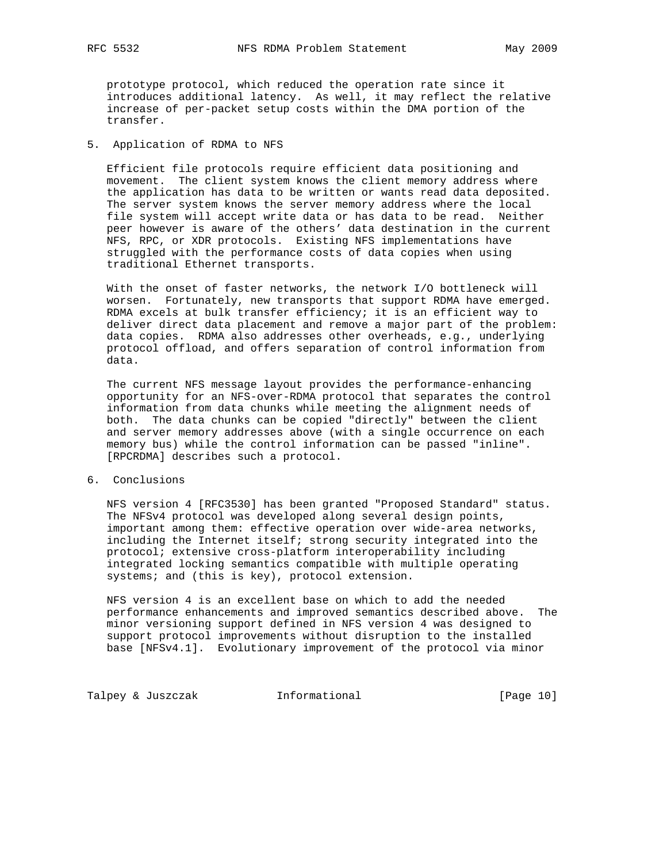prototype protocol, which reduced the operation rate since it introduces additional latency. As well, it may reflect the relative increase of per-packet setup costs within the DMA portion of the transfer.

# 5. Application of RDMA to NFS

 Efficient file protocols require efficient data positioning and movement. The client system knows the client memory address where the application has data to be written or wants read data deposited. The server system knows the server memory address where the local file system will accept write data or has data to be read. Neither peer however is aware of the others' data destination in the current NFS, RPC, or XDR protocols. Existing NFS implementations have struggled with the performance costs of data copies when using traditional Ethernet transports.

 With the onset of faster networks, the network I/O bottleneck will worsen. Fortunately, new transports that support RDMA have emerged. RDMA excels at bulk transfer efficiency; it is an efficient way to deliver direct data placement and remove a major part of the problem: data copies. RDMA also addresses other overheads, e.g., underlying protocol offload, and offers separation of control information from data.

 The current NFS message layout provides the performance-enhancing opportunity for an NFS-over-RDMA protocol that separates the control information from data chunks while meeting the alignment needs of both. The data chunks can be copied "directly" between the client and server memory addresses above (with a single occurrence on each memory bus) while the control information can be passed "inline". [RPCRDMA] describes such a protocol.

## 6. Conclusions

 NFS version 4 [RFC3530] has been granted "Proposed Standard" status. The NFSv4 protocol was developed along several design points, important among them: effective operation over wide-area networks, including the Internet itself; strong security integrated into the protocol; extensive cross-platform interoperability including integrated locking semantics compatible with multiple operating systems; and (this is key), protocol extension.

 NFS version 4 is an excellent base on which to add the needed performance enhancements and improved semantics described above. The minor versioning support defined in NFS version 4 was designed to support protocol improvements without disruption to the installed base [NFSv4.1]. Evolutionary improvement of the protocol via minor

Talpey & Juszczak Informational [Page 10]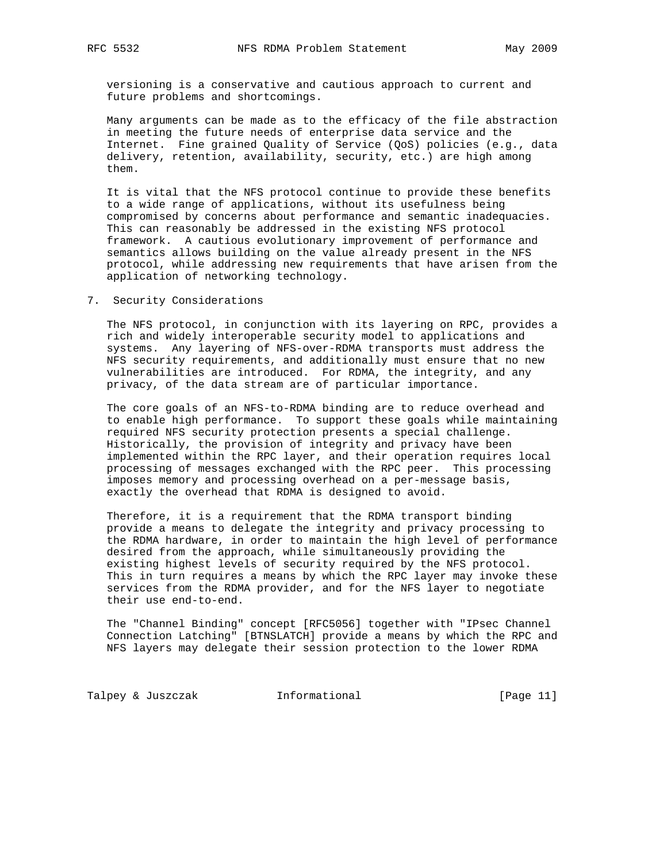versioning is a conservative and cautious approach to current and future problems and shortcomings.

 Many arguments can be made as to the efficacy of the file abstraction in meeting the future needs of enterprise data service and the Internet. Fine grained Quality of Service (QoS) policies (e.g., data delivery, retention, availability, security, etc.) are high among them.

 It is vital that the NFS protocol continue to provide these benefits to a wide range of applications, without its usefulness being compromised by concerns about performance and semantic inadequacies. This can reasonably be addressed in the existing NFS protocol framework. A cautious evolutionary improvement of performance and semantics allows building on the value already present in the NFS protocol, while addressing new requirements that have arisen from the application of networking technology.

# 7. Security Considerations

 The NFS protocol, in conjunction with its layering on RPC, provides a rich and widely interoperable security model to applications and systems. Any layering of NFS-over-RDMA transports must address the NFS security requirements, and additionally must ensure that no new vulnerabilities are introduced. For RDMA, the integrity, and any privacy, of the data stream are of particular importance.

 The core goals of an NFS-to-RDMA binding are to reduce overhead and to enable high performance. To support these goals while maintaining required NFS security protection presents a special challenge. Historically, the provision of integrity and privacy have been implemented within the RPC layer, and their operation requires local processing of messages exchanged with the RPC peer. This processing imposes memory and processing overhead on a per-message basis, exactly the overhead that RDMA is designed to avoid.

 Therefore, it is a requirement that the RDMA transport binding provide a means to delegate the integrity and privacy processing to the RDMA hardware, in order to maintain the high level of performance desired from the approach, while simultaneously providing the existing highest levels of security required by the NFS protocol. This in turn requires a means by which the RPC layer may invoke these services from the RDMA provider, and for the NFS layer to negotiate their use end-to-end.

 The "Channel Binding" concept [RFC5056] together with "IPsec Channel Connection Latching" [BTNSLATCH] provide a means by which the RPC and NFS layers may delegate their session protection to the lower RDMA

Talpey & Juszczak 1nformational (Page 11)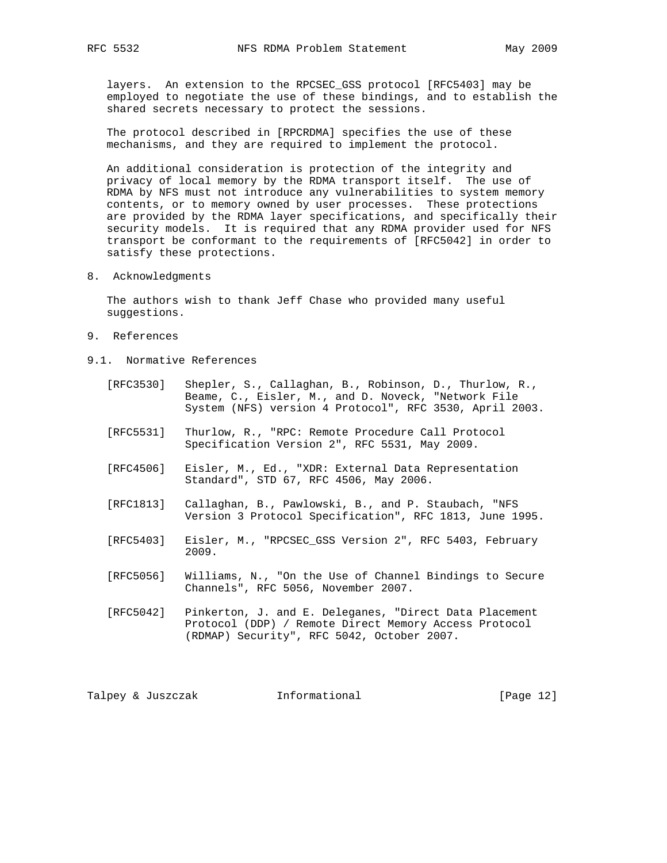layers. An extension to the RPCSEC\_GSS protocol [RFC5403] may be employed to negotiate the use of these bindings, and to establish the shared secrets necessary to protect the sessions.

 The protocol described in [RPCRDMA] specifies the use of these mechanisms, and they are required to implement the protocol.

 An additional consideration is protection of the integrity and privacy of local memory by the RDMA transport itself. The use of RDMA by NFS must not introduce any vulnerabilities to system memory contents, or to memory owned by user processes. These protections are provided by the RDMA layer specifications, and specifically their security models. It is required that any RDMA provider used for NFS transport be conformant to the requirements of [RFC5042] in order to satisfy these protections.

8. Acknowledgments

 The authors wish to thank Jeff Chase who provided many useful suggestions.

- 9. References
- 9.1. Normative References
	- [RFC3530] Shepler, S., Callaghan, B., Robinson, D., Thurlow, R., Beame, C., Eisler, M., and D. Noveck, "Network File System (NFS) version 4 Protocol", RFC 3530, April 2003.
	- [RFC5531] Thurlow, R., "RPC: Remote Procedure Call Protocol Specification Version 2", RFC 5531, May 2009.
	- [RFC4506] Eisler, M., Ed., "XDR: External Data Representation Standard", STD 67, RFC 4506, May 2006.
	- [RFC1813] Callaghan, B., Pawlowski, B., and P. Staubach, "NFS Version 3 Protocol Specification", RFC 1813, June 1995.
	- [RFC5403] Eisler, M., "RPCSEC\_GSS Version 2", RFC 5403, February 2009.
	- [RFC5056] Williams, N., "On the Use of Channel Bindings to Secure Channels", RFC 5056, November 2007.
	- [RFC5042] Pinkerton, J. and E. Deleganes, "Direct Data Placement Protocol (DDP) / Remote Direct Memory Access Protocol (RDMAP) Security", RFC 5042, October 2007.

Talpey & Juszczak 1nformational (Page 12)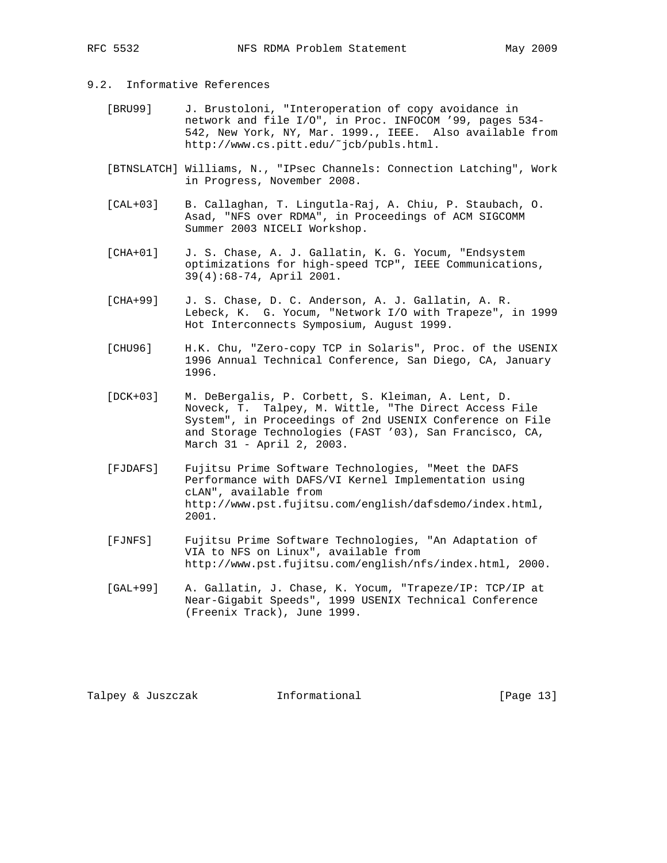# 9.2. Informative References

- [BRU99] J. Brustoloni, "Interoperation of copy avoidance in network and file I/O", in Proc. INFOCOM '99, pages 534- 542, New York, NY, Mar. 1999., IEEE. Also available from http://www.cs.pitt.edu/˜jcb/publs.html.
- [BTNSLATCH] Williams, N., "IPsec Channels: Connection Latching", Work in Progress, November 2008.
- [CAL+03] B. Callaghan, T. Lingutla-Raj, A. Chiu, P. Staubach, O. Asad, "NFS over RDMA", in Proceedings of ACM SIGCOMM Summer 2003 NICELI Workshop.
- [CHA+01] J. S. Chase, A. J. Gallatin, K. G. Yocum, "Endsystem optimizations for high-speed TCP", IEEE Communications, 39(4):68-74, April 2001.
- [CHA+99] J. S. Chase, D. C. Anderson, A. J. Gallatin, A. R. Lebeck, K. G. Yocum, "Network I/O with Trapeze", in 1999 Hot Interconnects Symposium, August 1999.
- [CHU96] H.K. Chu, "Zero-copy TCP in Solaris", Proc. of the USENIX 1996 Annual Technical Conference, San Diego, CA, January 1996.
- [DCK+03] M. DeBergalis, P. Corbett, S. Kleiman, A. Lent, D. Noveck, T. Talpey, M. Wittle, "The Direct Access File System", in Proceedings of 2nd USENIX Conference on File and Storage Technologies (FAST '03), San Francisco, CA, March 31 - April 2, 2003.
- [FJDAFS] Fujitsu Prime Software Technologies, "Meet the DAFS Performance with DAFS/VI Kernel Implementation using cLAN", available from http://www.pst.fujitsu.com/english/dafsdemo/index.html, 2001.
- [FJNFS] Fujitsu Prime Software Technologies, "An Adaptation of VIA to NFS on Linux", available from http://www.pst.fujitsu.com/english/nfs/index.html, 2000.
- [GAL+99] A. Gallatin, J. Chase, K. Yocum, "Trapeze/IP: TCP/IP at Near-Gigabit Speeds", 1999 USENIX Technical Conference (Freenix Track), June 1999.

Talpey & Juszczak Informational [Page 13]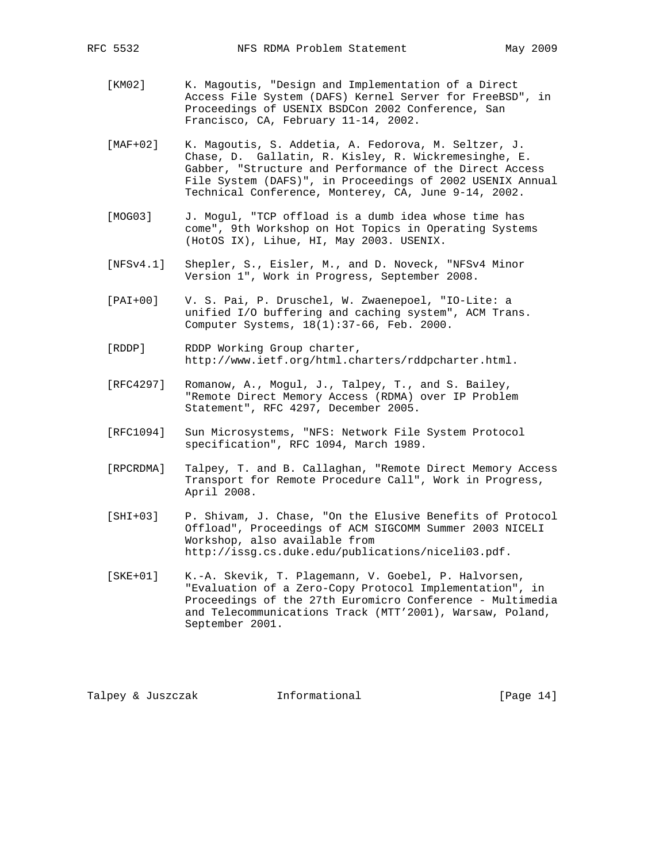- [KM02] K. Magoutis, "Design and Implementation of a Direct Access File System (DAFS) Kernel Server for FreeBSD", in Proceedings of USENIX BSDCon 2002 Conference, San Francisco, CA, February 11-14, 2002.
- [MAF+02] K. Magoutis, S. Addetia, A. Fedorova, M. Seltzer, J. Chase, D. Gallatin, R. Kisley, R. Wickremesinghe, E. Gabber, "Structure and Performance of the Direct Access File System (DAFS)", in Proceedings of 2002 USENIX Annual Technical Conference, Monterey, CA, June 9-14, 2002.
- [MOG03] J. Mogul, "TCP offload is a dumb idea whose time has come", 9th Workshop on Hot Topics in Operating Systems (HotOS IX), Lihue, HI, May 2003. USENIX.
- [NFSv4.1] Shepler, S., Eisler, M., and D. Noveck, "NFSv4 Minor Version 1", Work in Progress, September 2008.
- [PAI+00] V. S. Pai, P. Druschel, W. Zwaenepoel, "IO-Lite: a unified I/O buffering and caching system", ACM Trans. Computer Systems, 18(1):37-66, Feb. 2000.
- [RDDP] RDDP Working Group charter, http://www.ietf.org/html.charters/rddpcharter.html.
- [RFC4297] Romanow, A., Mogul, J., Talpey, T., and S. Bailey, "Remote Direct Memory Access (RDMA) over IP Problem Statement", RFC 4297, December 2005.
- [RFC1094] Sun Microsystems, "NFS: Network File System Protocol specification", RFC 1094, March 1989.
- [RPCRDMA] Talpey, T. and B. Callaghan, "Remote Direct Memory Access Transport for Remote Procedure Call", Work in Progress, April 2008.
- [SHI+03] P. Shivam, J. Chase, "On the Elusive Benefits of Protocol Offload", Proceedings of ACM SIGCOMM Summer 2003 NICELI Workshop, also available from http://issg.cs.duke.edu/publications/niceli03.pdf.
- [SKE+01] K.-A. Skevik, T. Plagemann, V. Goebel, P. Halvorsen, "Evaluation of a Zero-Copy Protocol Implementation", in Proceedings of the 27th Euromicro Conference - Multimedia and Telecommunications Track (MTT'2001), Warsaw, Poland, September 2001.

Talpey & Juszczak Informational [Page 14]